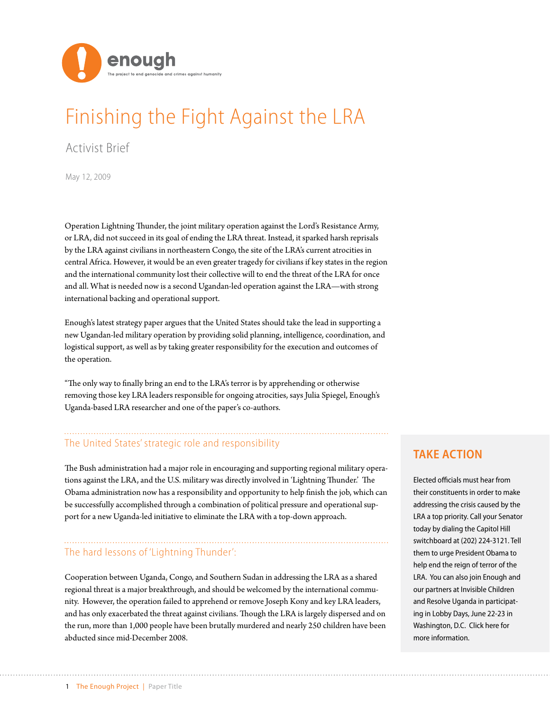

# Finishing the Fight Against the LRA

Activist Brief

May 12, 2009

Operation Lightning Thunder, the joint military operation against the Lord's Resistance Army, or LRA, did not succeed in its goal of ending the LRA threat. Instead, it sparked harsh reprisals by the LRA against civilians in northeastern Congo, the site of the LRA's current atrocities in central Africa. However, it would be an even greater tragedy for civilians if key states in the region and the international community lost their collective will to end the threat of the LRA for once and all. What is needed now is a second Ugandan-led operation against the LRA—with strong international backing and operational support.

Enough's latest strategy paper argues that the United States should take the lead in supporting a new Ugandan-led military operation by providing solid planning, intelligence, coordination, and logistical support, as well as by taking greater responsibility for the execution and outcomes of the operation.

"The only way to finally bring an end to the LRA's terror is by apprehending or otherwise removing those key LRA leaders responsible for ongoing atrocities, says Julia Spiegel, Enough's Uganda-based LRA researcher and one of the paper's co-authors.

# The United States' strategic role and responsibility

The Bush administration had a major role in encouraging and supporting regional military operations against the LRA, and the U.S. military was directly involved in 'Lightning Thunder.' The Obama administration now has a responsibility and opportunity to help finish the job, which can be successfully accomplished through a combination of political pressure and operational support for a new Uganda-led initiative to eliminate the LRA with a top-down approach.

# The hard lessons of 'Lightning Thunder':

Cooperation between Uganda, Congo, and Southern Sudan in addressing the LRA as a shared regional threat is a major breakthrough, and should be welcomed by the international community. However, the operation failed to apprehend or remove Joseph Kony and key LRA leaders, and has only exacerbated the threat against civilians. Though the LRA is largely dispersed and on the run, more than 1,000 people have been brutally murdered and nearly 250 children have been abducted since mid-December 2008.

## **TAKE ACTION**

Elected officials must hear from their constituents in order to make addressing the crisis caused by the LRA a top priority. Call your Senator today by dialing the Capitol Hill switchboard at (202) 224-3121. Tell them to urge President Obama to help end the reign of terror of the LRA. You can also join Enough and our partners at Invisible Children and Resolve Uganda in participating in Lobby Days, June 22-23 in Washington, D.C. Click here for more information.